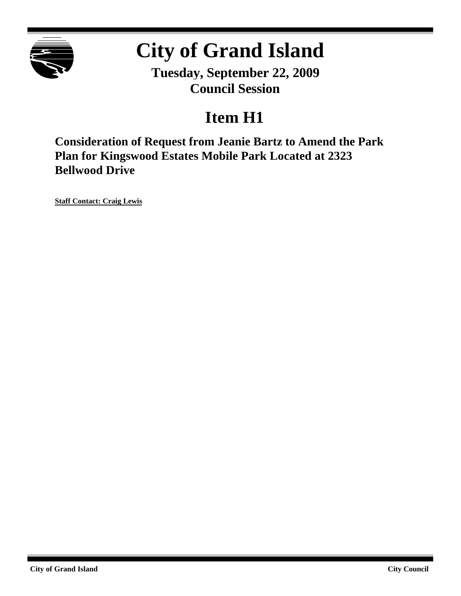

# **City of Grand Island**

**Tuesday, September 22, 2009 Council Session**

## **Item H1**

**Consideration of Request from Jeanie Bartz to Amend the Park Plan for Kingswood Estates Mobile Park Located at 2323 Bellwood Drive**

**Staff Contact: Craig Lewis**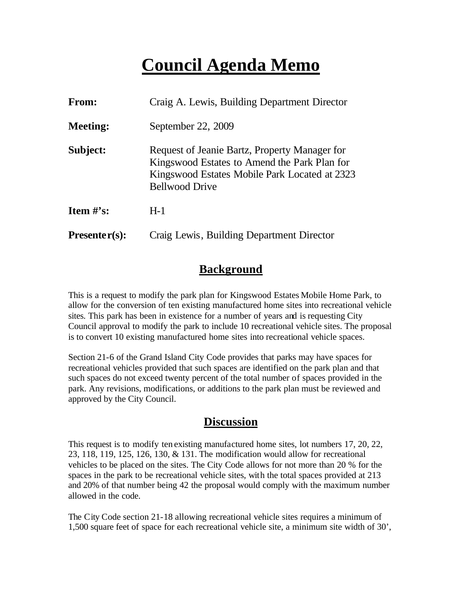### **Council Agenda Memo**

| <b>From:</b>    | Craig A. Lewis, Building Department Director                                                                                                                            |
|-----------------|-------------------------------------------------------------------------------------------------------------------------------------------------------------------------|
| <b>Meeting:</b> | September 22, 2009                                                                                                                                                      |
| Subject:        | Request of Jeanie Bartz, Property Manager for<br>Kingswood Estates to Amend the Park Plan for<br>Kingswood Estates Mobile Park Located at 2323<br><b>Bellwood Drive</b> |
| Item $\#$ 's:   | $H-1$                                                                                                                                                                   |
| $Presenter(s):$ | Craig Lewis, Building Department Director                                                                                                                               |

#### **Background**

This is a request to modify the park plan for Kingswood Estates Mobile Home Park, to allow for the conversion of ten existing manufactured home sites into recreational vehicle sites. This park has been in existence for a number of years and is requesting City Council approval to modify the park to include 10 recreational vehicle sites. The proposal is to convert 10 existing manufactured home sites into recreational vehicle spaces.

Section 21-6 of the Grand Island City Code provides that parks may have spaces for recreational vehicles provided that such spaces are identified on the park plan and that such spaces do not exceed twenty percent of the total number of spaces provided in the park. Any revisions, modifications, or additions to the park plan must be reviewed and approved by the City Council.

#### **Discussion**

This request is to modify ten existing manufactured home sites, lot numbers 17, 20, 22, 23, 118, 119, 125, 126, 130, & 131. The modification would allow for recreational vehicles to be placed on the sites. The City Code allows for not more than 20 % for the spaces in the park to be recreational vehicle sites, with the total spaces provided at 213 and 20% of that number being 42 the proposal would comply with the maximum number allowed in the code.

The City Code section 21-18 allowing recreational vehicle sites requires a minimum of 1,500 square feet of space for each recreational vehicle site, a minimum site width of 30',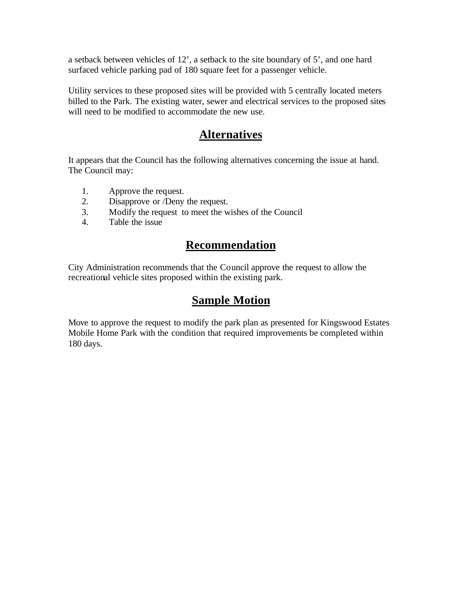a setback between vehicles of 12', a setback to the site boundary of 5', and one hard surfaced vehicle parking pad of 180 square feet for a passenger vehicle.

Utility services to these proposed sites will be provided with 5 centrally located meters billed to the Park. The existing water, sewer and electrical services to the proposed sites will need to be modified to accommodate the new use.

#### **Alternatives**

It appears that the Council has the following alternatives concerning the issue at hand. The Council may:

- 1. Approve the request.
- 2. Disapprove or /Deny the request.
- 3. Modify the request to meet the wishes of the Council
- 4. Table the issue

### **Recommendation**

City Administration recommends that the Council approve the request to allow the recreational vehicle sites proposed within the existing park.

#### **Sample Motion**

Move to approve the request to modify the park plan as presented for Kingswood Estates Mobile Home Park with the condition that required improvements be completed within 180 days.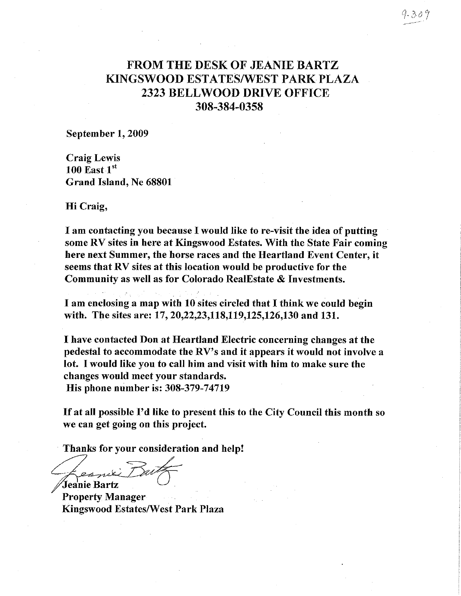#### **FROM THE DESK OF JEANIE BARTZ** KINGSWOOD ESTATES/WEST PARK PLAZA 2323 BELLWOOD DRIVE OFFICE 308-384-0358

September 1, 2009

**Craig Lewis**  $100$  East  $1<sup>st</sup>$ Grand Island, Ne 68801

Hi Craig,

I am contacting you because I would like to re-visit the idea of putting some RV sites in here at Kingswood Estates. With the State Fair coming here next Summer, the horse races and the Heartland Event Center, it seems that RV sites at this location would be productive for the Community as well as for Colorado RealEstate & Investments.

I am enclosing a map with 10 sites circled that I think we could begin with. The sites are: 17, 20, 22, 23, 118, 119, 125, 126, 130 and 131.

I have contacted Don at Heartland Electric concerning changes at the pedestal to accommodate the RV's and it appears it would not involve a lot. I would like you to call him and visit with him to make sure the changes would meet your standards. His phone number is: 308-379-74719

If at all possible I'd like to present this to the City Council this month so we can get going on this project.

Thanks for your consideration and help!

Jeanie Bartz

**Property Manager Kingswood Estates/West Park Plaza**